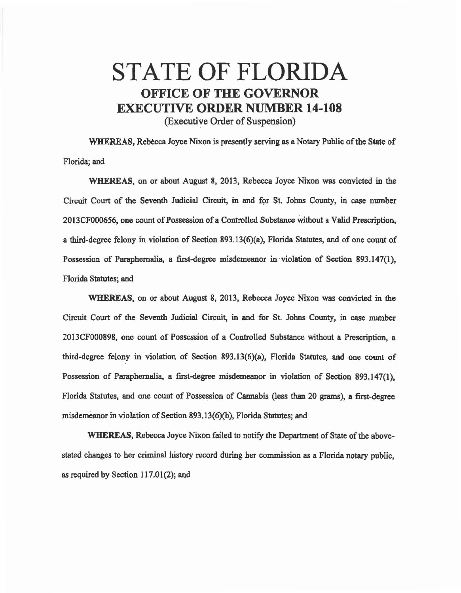## STATE OF FLORIDA OFFICE OF THE GOVERNOR EXECUTIVE ORDER NUMBER 14-108

(Executiye Order of Suspension)

WHEREAS, Rebecca Joyce Nixon is presently serving as a Notary Public of the State of Florida; and

WHEREAS, on or about August 8, 2013, Rebecca Joyce Nixon was convicted in the Circuit Court of the Seventh Judicial Circuit, in and for St. Johns County, in case number 2013CF000656, one count of Possession of a Controlled Substance Without a Valid Prescription, a third-degree felony in violation of Section 893.13(6)(a), Florida Statutes, and of one count of Possession of Paraphernalia, a first-degree misdemeanor in ·violation of Section 893.147(1), Florida Statutes; and

WHEREAS, on or about August 8, 2013, Rebecca Joyce Nixon was convicted in the Circuit Court of the Seventh Judicial Circuit, in and for St. Johns County, in case number 2013CF000898, one count of Possession of a Controlled Substance without a Prescription, a third-degree felony in violation of Section 893.13(6)(a), Florida Statutes, and one count of Possession of Paraphernalia, a first-degree misdemeanor in violation of Section 893.147(1), Florida Statutes, and one count of Possession of Cannabis (less than 20 grams), a first-degree misdemeanor in violation of Section 893.13(6)(b), Florida Statutes; and

WHEREAS, Rebecca Joyce Nixon failed to notify the Department of State of the abovestated changes to her criminal history record during her commission as a Florida notary public, as required by Section 117.01(2); and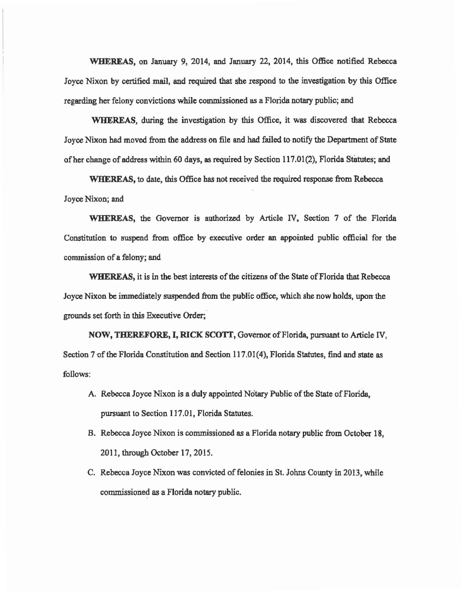WHEREAS, on January 9, 2014, and January 22, 2014, this Office notified Rebecca Joyce Nixon by certified mail, and required that she respond to the investigation by this Office regarding her felony convictions while commissioned as a Florida notary public; and

WHEREAS, during the investigation by this Office, it was discovered that Rebecca 1 oyce Nixon had moved from the address on file and had failed to notify the Department of State of her change of address within 60 days, as required by Section 117.01(2), Florida Statutes; and

WHEREAS, to date, this Office has not received the required response from Rebecca Joyce Nixon; and

WHEREAS, the Governor is authorized by Article IV, Section 7 of the Florida Constitution to suspend from office by executive order an appointed public official for the commission of a felony; and

WHEREAS, it is in the best interests of the citizens of the State of Florida that Rebecca Joyce Nixon be immediately suspended from the public office, which she now holds, upon the grounds set forth in this Executive Order;

NOW, THEREFORE, I, RICK SCOTT, Governor of Florida, pursuant to Article IV, Section 7 of the Florida Constitution and Section 117.01(4), Florida Statutes, find and state as follows:

- A. Rebecca Joyce Nixon is a duly appointed Notary Public of the State of Florida, pursuant to Section 117.01, Florida Statutes.
- B. Rebecca Joyce Nixon is commissioned as a Florida notary public from October 18, 2011, through October 17, 2015.
- C. Rebecca Joyce Nixon was convicted of felonies in St. Johns County in 2013, while commissioned as a Florida notary public.